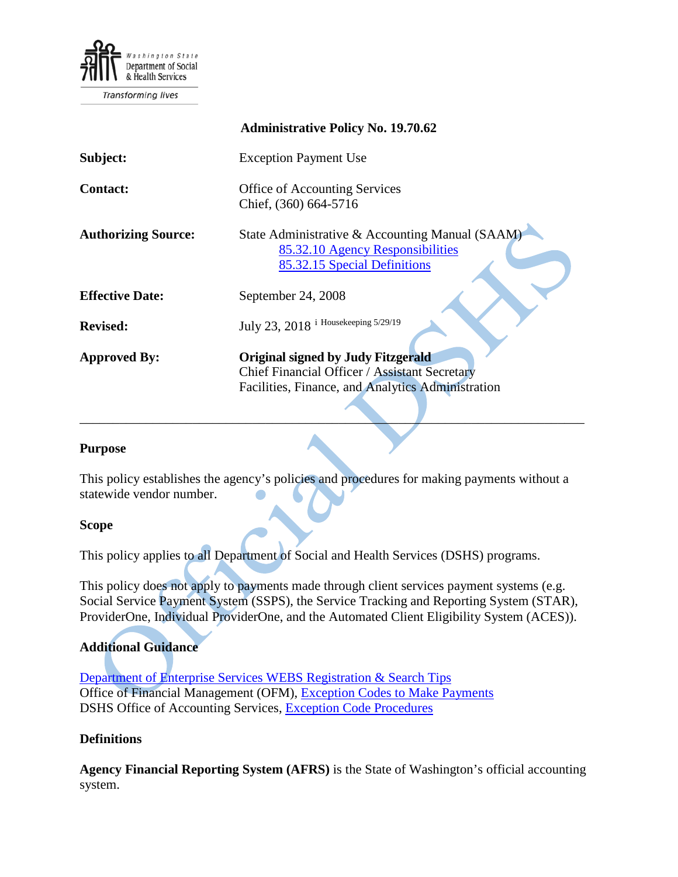

**Transforming lives** 

|                            | <b>Administrative Policy No. 19.70.62</b>                                                                                                       |
|----------------------------|-------------------------------------------------------------------------------------------------------------------------------------------------|
| Subject:                   | <b>Exception Payment Use</b>                                                                                                                    |
| <b>Contact:</b>            | <b>Office of Accounting Services</b><br>Chief, (360) 664-5716                                                                                   |
| <b>Authorizing Source:</b> | State Administrative & Accounting Manual (SAAM)<br>85.32.10 Agency Responsibilities<br>85.32.15 Special Definitions                             |
| <b>Effective Date:</b>     | September 24, 2008                                                                                                                              |
| <b>Revised:</b>            | July 23, 2018 <sup>i Housekeeping 5/29/19</sup>                                                                                                 |
| <b>Approved By:</b>        | <b>Original signed by Judy Fitzgerald</b><br>Chief Financial Officer / Assistant Secretary<br>Facilities, Finance, and Analytics Administration |

#### **Purpose**

This policy establishes the agency's policies and procedures for making payments without a statewide vendor number.

\_\_\_\_\_\_\_\_\_\_\_\_\_\_\_\_\_\_\_\_\_\_\_\_\_\_\_\_\_\_\_\_\_\_\_\_\_\_\_\_\_\_\_\_\_\_\_\_\_\_\_\_\_\_\_\_\_\_\_\_\_\_\_\_\_\_\_\_\_\_\_\_\_\_\_\_

#### **Scope**

This policy applies to all Department of Social and Health Services (DSHS) programs.

This policy does not apply to payments made through client services payment systems (e.g. Social Service Payment System (SSPS), the Service Tracking and Reporting System (STAR), ProviderOne, Individual ProviderOne, and the Automated Client Eligibility System (ACES)).

### **Additional Guidance**

[Department of Enterprise Services WEBS Registration & Search Tips](http://des.wa.gov/services/ContractingPurchasing/Business/Pages/WEBSRegistration.aspx)  Office of Financial Management (OFM), [Exception Codes to Make Payments](http://www.ofm.wa.gov/resources/misc/MCException_Codes_Overview.pdf) DSHS Office of Accounting Services, [Exception Code Procedures](http://one.dshs.wa.lcl/FS/Fiscal/Accounting/Tax/Exception%20Payments/Exception%20Code%20Procedures.doc)

### **Definitions**

**Agency Financial Reporting System (AFRS)** is the State of Washington's official accounting system.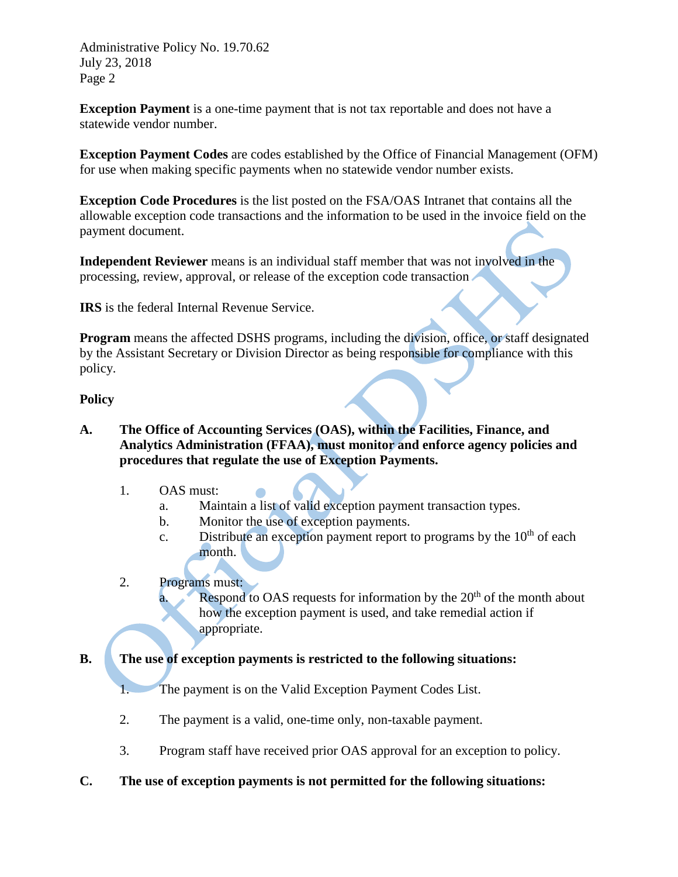Administrative Policy No. 19.70.62 July 23, 2018 Page 2

**Exception Payment** is a one-time payment that is not tax reportable and does not have a statewide vendor number.

**Exception Payment Codes** are codes established by the Office of Financial Management (OFM) for use when making specific payments when no statewide vendor number exists.

**Exception Code Procedures** is the list posted on the FSA/OAS Intranet that contains all the allowable exception code transactions and the information to be used in the invoice field on the payment document.

**Independent Reviewer** means is an individual staff member that was not involved in the processing, review, approval, or release of the exception code transaction

**IRS** is the federal Internal Revenue Service.

**Program** means the affected DSHS programs, including the division, office, or staff designated by the Assistant Secretary or Division Director as being responsible for compliance with this policy.

### **Policy**

- **A. The Office of Accounting Services (OAS), within the Facilities, Finance, and Analytics Administration (FFAA), must monitor and enforce agency policies and procedures that regulate the use of Exception Payments.**
	- 1. OAS must:
		- a. Maintain a list of valid exception payment transaction types.
		- b. Monitor the use of exception payments.
		- c. Distribute an exception payment report to programs by the  $10<sup>th</sup>$  of each month.
	- 2. Programs must:

Respond to OAS requests for information by the  $20<sup>th</sup>$  of the month about how the exception payment is used, and take remedial action if appropriate.

# **B. The use of exception payments is restricted to the following situations:**

1. The payment is on the Valid Exception Payment Codes List.

- 2. The payment is a valid, one-time only, non-taxable payment.
- 3. Program staff have received prior OAS approval for an exception to policy.
- **C. The use of exception payments is not permitted for the following situations:**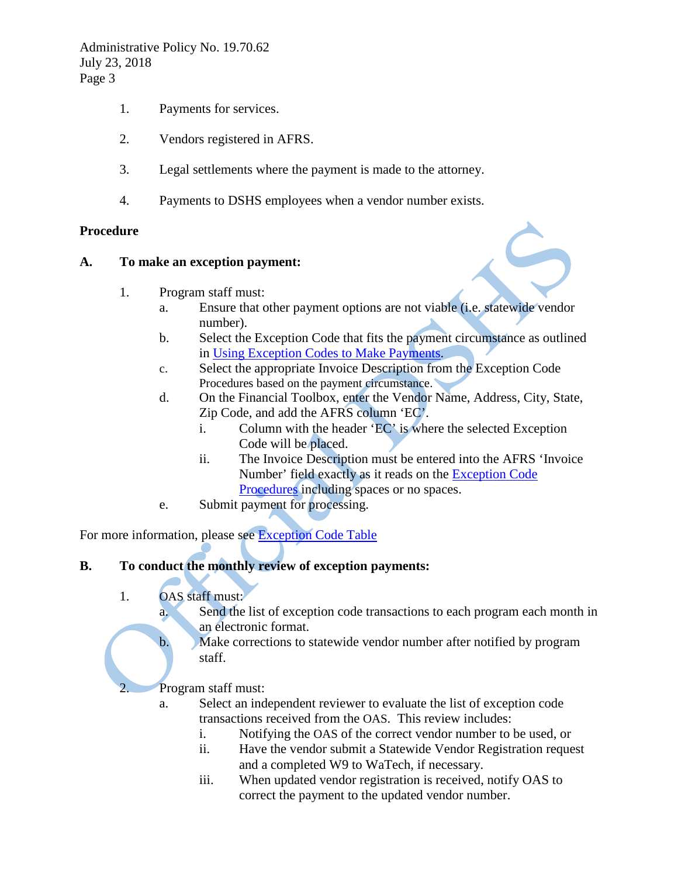Administrative Policy No. 19.70.62 July 23, 2018 Page 3

- 1. Payments for services.
- 2. Vendors registered in AFRS.
- 3. Legal settlements where the payment is made to the attorney.
- 4. Payments to DSHS employees when a vendor number exists.

### **Procedure**

### **A. To make an exception payment:**

- 1. Program staff must:
	- a. Ensure that other payment options are not viable (i.e. statewide vendor number).
	- b. Select the Exception Code that fits the payment circumstance as outlined in [Using Exception Codes to Make Payments.](http://www.ofm.wa.gov/resources/misc/MCException_Codes_Overview.pdf)
	- c. Select the appropriate Invoice Description from the Exception Code Procedures based on the payment circumstance.
	- d. On the Financial Toolbox, enter the Vendor Name, Address, City, State, Zip Code, and add the AFRS column 'EC'.
		- i. Column with the header 'EC' is where the selected Exception Code will be placed.
		- ii. The Invoice Description must be entered into the AFRS 'Invoice Number' field exactly as it reads on the [Exception Code](http://one.dshs.wa.lcl/FS/Fiscal/Accounting/Tax/Exception%20Payments/Exception%20Code%20Procedures.doc)  [Procedures](http://one.dshs.wa.lcl/FS/Fiscal/Accounting/Tax/Exception%20Payments/Exception%20Code%20Procedures.doc) including spaces or no spaces.
	- e. Submit payment for processing.

For more information, please see [Exception Code Table](https://www.ofm.wa.gov/sites/default/files/public/legacy/resources/eps/EPS_Exception_Code_Table_10172011.pdf)

# **B. To conduct the monthly review of exception payments:**

1. OAS staff must:

a. Send the list of exception code transactions to each program each month in an electronic format.

- b. Make corrections to statewide vendor number after notified by program staff.
- 2. Program staff must:
	- a. Select an independent reviewer to evaluate the list of exception code transactions received from the OAS. This review includes:
		- i. Notifying the OAS of the correct vendor number to be used, or
		- ii. Have the vendor submit a Statewide Vendor Registration request and a completed W9 to WaTech, if necessary.
		- iii. When updated vendor registration is received, notify OAS to correct the payment to the updated vendor number.